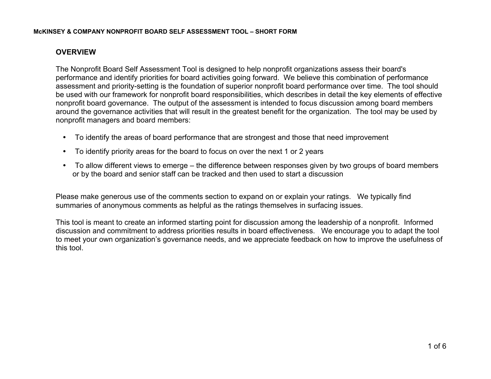#### **McKINSEY & COMPANY NONPROFIT BOARD SELF ASSESSMENT TOOL – SHORT FORM**

# **OVERVIEW**

The Nonprofit Board Self Assessment Tool is designed to help nonprofit organizations assess their board's performance and identify priorities for board activities going forward. We believe this combination of performance assessment and priority-setting is the foundation of superior nonprofit board performance over time. The tool should be used with our framework for nonprofit board responsibilities, which describes in detail the key elements of effective nonprofit board governance. The output of the assessment is intended to focus discussion among board members around the governance activities that will result in the greatest benefit for the organization. The tool may be used by nonprofit managers and board members:

- To identify the areas of board performance that are strongest and those that need improvement
- To identify priority areas for the board to focus on over the next 1 or 2 years
- To allow different views to emerge the difference between responses given by two groups of board members or by the board and senior staff can be tracked and then used to start a discussion

Please make generous use of the comments section to expand on or explain your ratings. We typically find summaries of anonymous comments as helpful as the ratings themselves in surfacing issues.

This tool is meant to create an informed starting point for discussion among the leadership of a nonprofit. Informed discussion and commitment to address priorities results in board effectiveness. We encourage you to adapt the tool to meet your own organization's governance needs, and we appreciate feedback on how to improve the usefulness of this tool.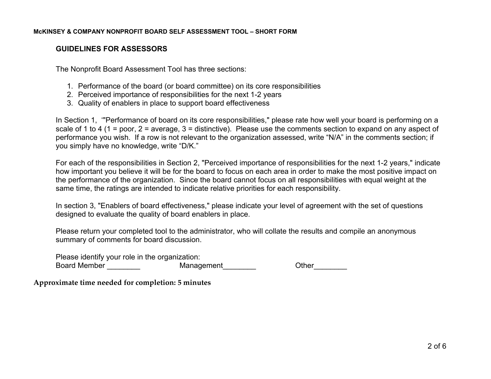# **GUIDELINES FOR ASSESSORS**

The Nonprofit Board Assessment Tool has three sections:

- 1. Performance of the board (or board committee) on its core responsibilities
- 2. Perceived importance of responsibilities for the next 1-2 years
- 3. Quality of enablers in place to support board effectiveness

In Section 1, '"Performance of board on its core responsibilities," please rate how well your board is performing on a scale of 1 to 4 (1 = poor, 2 = average, 3 = distinctive). Please use the comments section to expand on any aspect of performance you wish. If a row is not relevant to the organization assessed, write "N/A" in the comments section; if you simply have no knowledge, write "D/K."

For each of the responsibilities in Section 2, "Perceived importance of responsibilities for the next 1-2 years," indicate how important you believe it will be for the board to focus on each area in order to make the most positive impact on the performance of the organization. Since the board cannot focus on all responsibilities with equal weight at the same time, the ratings are intended to indicate relative priorities for each responsibility.

In section 3, "Enablers of board effectiveness," please indicate your level of agreement with the set of questions designed to evaluate the quality of board enablers in place.

Please return your completed tool to the administrator, who will collate the results and compile an anonymous summary of comments for board discussion.

Please identify your role in the organization: Board Member **Contains the Management** Character Chern Chern Chern Chern Chern Chern Chern Chern Chern Chern Chern Chern Chern Chern Chern Chern Chern Chern Chern Chern Chern Chern Chern Chern Chern Chern Chern Chern Chern

**Approximate time needed for completion: 5 minutes**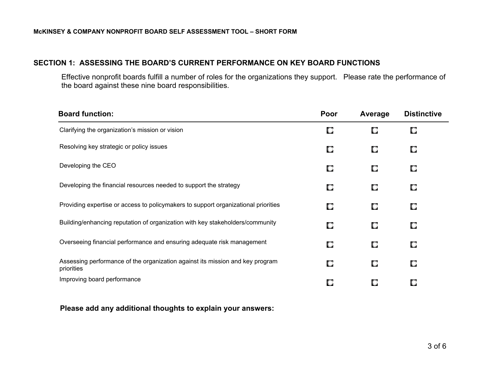### **SECTION 1: ASSESSING THE BOARD'S CURRENT PERFORMANCE ON KEY BOARD FUNCTIONS**

Effective nonprofit boards fulfill a number of roles for the organizations they support. Please rate the performance of the board against these nine board responsibilities.

| <b>Board function:</b>                                                                      | Poor | Average | <b>Distinctive</b> |
|---------------------------------------------------------------------------------------------|------|---------|--------------------|
| Clarifying the organization's mission or vision                                             | о    | О       | O                  |
| Resolving key strategic or policy issues                                                    | О    | О       | О                  |
| Developing the CEO                                                                          | О    | O       | О                  |
| Developing the financial resources needed to support the strategy                           | О    | О       | О                  |
| Providing expertise or access to policymakers to support organizational priorities          | О    | О       | О                  |
| Building/enhancing reputation of organization with key stakeholders/community               | О    | О       | О                  |
| Overseeing financial performance and ensuring adequate risk management                      | О    | О       | О                  |
| Assessing performance of the organization against its mission and key program<br>priorities | О    | О       | О                  |
| Improving board performance                                                                 | О    | О       | О                  |

**Please add any additional thoughts to explain your answers:**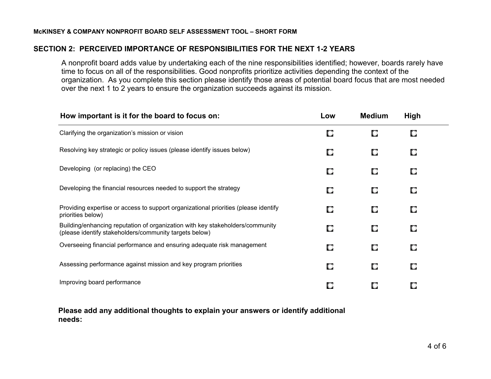## **SECTION 2: PERCEIVED IMPORTANCE OF RESPONSIBILITIES FOR THE NEXT 1-2 YEARS**

A nonprofit board adds value by undertaking each of the nine responsibilities identified; however, boards rarely have time to focus on all of the responsibilities. Good nonprofits prioritize activities depending the context of the organization. As you complete this section please identify those areas of potential board focus that are most needed over the next 1 to 2 years to ensure the organization succeeds against its mission.

| How important is it for the board to focus on:                                                                                          | Low | <b>Medium</b> | <b>High</b> |  |
|-----------------------------------------------------------------------------------------------------------------------------------------|-----|---------------|-------------|--|
| Clarifying the organization's mission or vision                                                                                         | О   | О             | О           |  |
| Resolving key strategic or policy issues (please identify issues below)                                                                 | О   | О             | О           |  |
| Developing (or replacing) the CEO                                                                                                       | О   | О             | О           |  |
| Developing the financial resources needed to support the strategy                                                                       | О   | О             | О           |  |
| Providing expertise or access to support organizational priorities (please identify<br>priorities below)                                | О   | О             | О           |  |
| Building/enhancing reputation of organization with key stakeholders/community<br>(please identify stakeholders/community targets below) | О   | О             | О           |  |
| Overseeing financial performance and ensuring adequate risk management                                                                  | О   | О             | О           |  |
| Assessing performance against mission and key program priorities                                                                        | О   | О             | О           |  |
| Improving board performance                                                                                                             | О   | О             | О           |  |

**Please add any additional thoughts to explain your answers or identify additional needs:**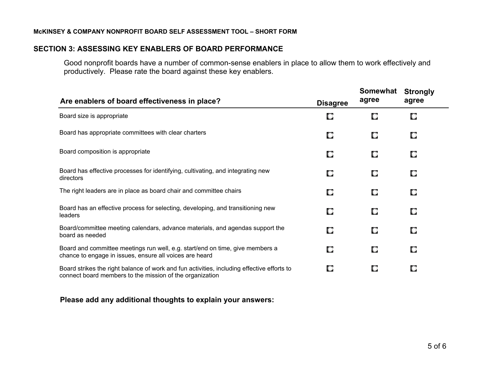#### **McKINSEY & COMPANY NONPROFIT BOARD SELF ASSESSMENT TOOL – SHORT FORM**

#### **SECTION 3: ASSESSING KEY ENABLERS OF BOARD PERFORMANCE**

Good nonprofit boards have a number of common-sense enablers in place to allow them to work effectively and productively. Please rate the board against these key enablers.

| Are enablers of board effectiveness in place?                                                                                                          |                 | Somewhat<br>agree | <b>Strongly</b><br>agree |
|--------------------------------------------------------------------------------------------------------------------------------------------------------|-----------------|-------------------|--------------------------|
|                                                                                                                                                        | <b>Disagree</b> |                   |                          |
| Board size is appropriate                                                                                                                              | О               | О                 | О                        |
| Board has appropriate committees with clear charters                                                                                                   | О               | О                 | О                        |
| Board composition is appropriate                                                                                                                       | О               | О                 | О                        |
| Board has effective processes for identifying, cultivating, and integrating new<br>directors                                                           | О               | О                 | О                        |
| The right leaders are in place as board chair and committee chairs                                                                                     | О               | О                 | О                        |
| Board has an effective process for selecting, developing, and transitioning new<br>leaders                                                             | О               | О                 | О                        |
| Board/committee meeting calendars, advance materials, and agendas support the<br>board as needed                                                       | О               | О                 | О                        |
| Board and committee meetings run well, e.g. start/end on time, give members a<br>chance to engage in issues, ensure all voices are heard               | О               | О                 | О                        |
| Board strikes the right balance of work and fun activities, including effective efforts to<br>connect board members to the mission of the organization | О               | О                 | О                        |
|                                                                                                                                                        |                 |                   |                          |

## **Please add any additional thoughts to explain your answers:**